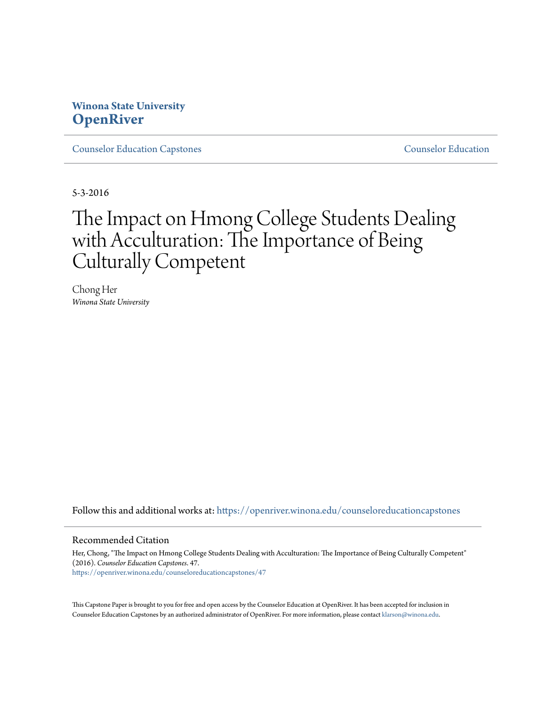# **Winona State University [OpenRiver](https://openriver.winona.edu?utm_source=openriver.winona.edu%2Fcounseloreducationcapstones%2F47&utm_medium=PDF&utm_campaign=PDFCoverPages)**

[Counselor Education Capstones](https://openriver.winona.edu/counseloreducationcapstones?utm_source=openriver.winona.edu%2Fcounseloreducationcapstones%2F47&utm_medium=PDF&utm_campaign=PDFCoverPages) [Counselor Education](https://openriver.winona.edu/counseloreducation?utm_source=openriver.winona.edu%2Fcounseloreducationcapstones%2F47&utm_medium=PDF&utm_campaign=PDFCoverPages)

5-3-2016

# The Impact on Hmong College Students Dealing with Acculturation: The Importance of Being Culturally Competent

Chong Her *Winona State University*

Follow this and additional works at: [https://openriver.winona.edu/counseloreducationcapstones](https://openriver.winona.edu/counseloreducationcapstones?utm_source=openriver.winona.edu%2Fcounseloreducationcapstones%2F47&utm_medium=PDF&utm_campaign=PDFCoverPages)

#### Recommended Citation

Her, Chong, "The Impact on Hmong College Students Dealing with Acculturation: The Importance of Being Culturally Competent" (2016). *Counselor Education Capstones*. 47. [https://openriver.winona.edu/counseloreducationcapstones/47](https://openriver.winona.edu/counseloreducationcapstones/47?utm_source=openriver.winona.edu%2Fcounseloreducationcapstones%2F47&utm_medium=PDF&utm_campaign=PDFCoverPages)

This Capstone Paper is brought to you for free and open access by the Counselor Education at OpenRiver. It has been accepted for inclusion in Counselor Education Capstones by an authorized administrator of OpenRiver. For more information, please contact [klarson@winona.edu](mailto:klarson@winona.edu).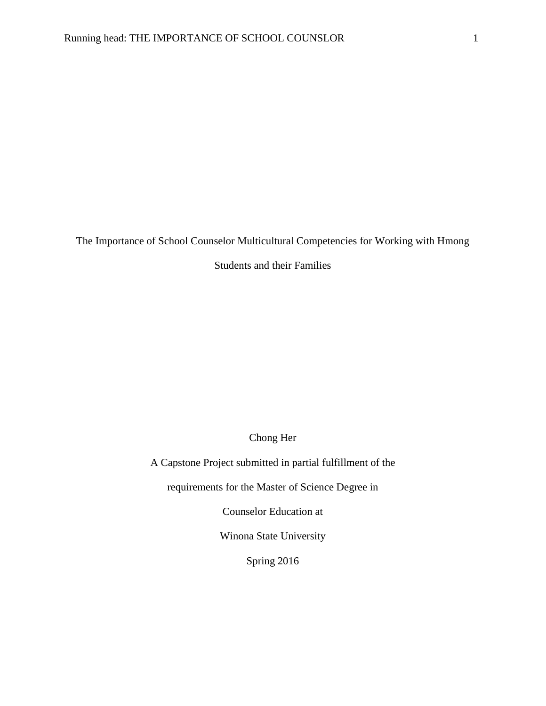The Importance of School Counselor Multicultural Competencies for Working with Hmong

Students and their Families

Chong Her

A Capstone Project submitted in partial fulfillment of the

requirements for the Master of Science Degree in

Counselor Education at

Winona State University

Spring 2016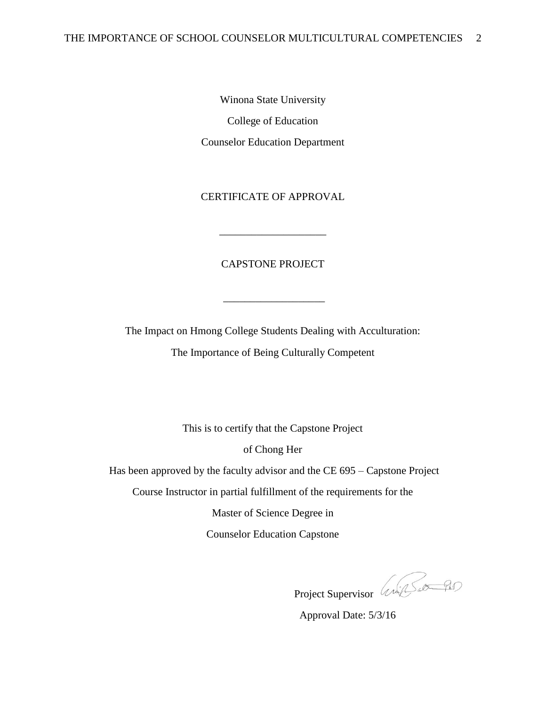Winona State University College of Education Counselor Education Department

# CERTIFICATE OF APPROVAL

## CAPSTONE PROJECT

\_\_\_\_\_\_\_\_\_\_\_\_\_\_\_\_\_\_\_

\_\_\_\_\_\_\_\_\_\_\_\_\_\_\_\_\_\_\_\_

The Impact on Hmong College Students Dealing with Acculturation: The Importance of Being Culturally Competent

This is to certify that the Capstone Project

of Chong Her

Has been approved by the faculty advisor and the CE 695 – Capstone Project

Course Instructor in partial fulfillment of the requirements for the

Master of Science Degree in

Counselor Education Capstone

Project Supervisor (2007

Approval Date: 5/3/16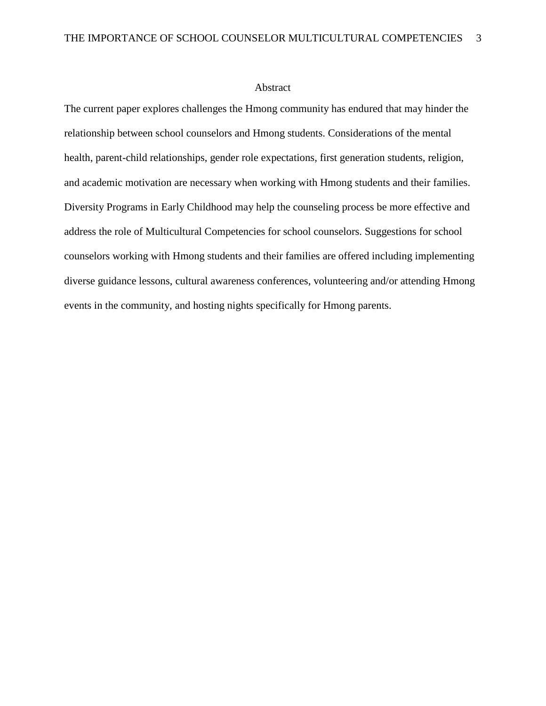#### Abstract

The current paper explores challenges the Hmong community has endured that may hinder the relationship between school counselors and Hmong students. Considerations of the mental health, parent-child relationships, gender role expectations, first generation students, religion, and academic motivation are necessary when working with Hmong students and their families. Diversity Programs in Early Childhood may help the counseling process be more effective and address the role of Multicultural Competencies for school counselors. Suggestions for school counselors working with Hmong students and their families are offered including implementing diverse guidance lessons, cultural awareness conferences, volunteering and/or attending Hmong events in the community, and hosting nights specifically for Hmong parents.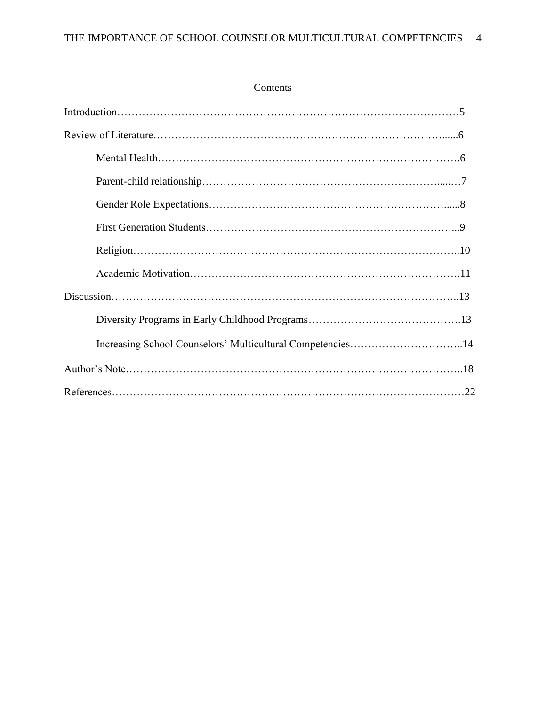# Contents

| Increasing School Counselors' Multicultural Competencies14 |  |
|------------------------------------------------------------|--|
|                                                            |  |
|                                                            |  |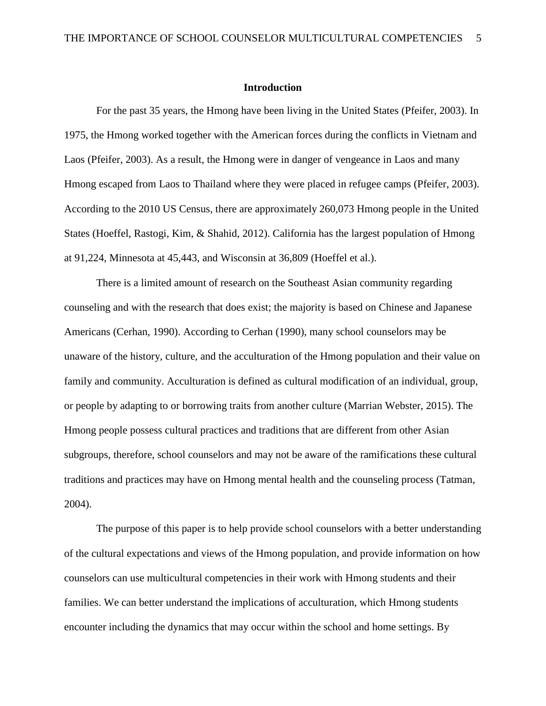#### **Introduction**

For the past 35 years, the Hmong have been living in the United States (Pfeifer, 2003). In 1975, the Hmong worked together with the American forces during the conflicts in Vietnam and Laos (Pfeifer, 2003). As a result, the Hmong were in danger of vengeance in Laos and many Hmong escaped from Laos to Thailand where they were placed in refugee camps (Pfeifer, 2003). According to the 2010 US Census, there are approximately 260,073 Hmong people in the United States (Hoeffel, Rastogi, Kim, & Shahid, 2012). California has the largest population of Hmong at 91,224, Minnesota at 45,443, and Wisconsin at 36,809 (Hoeffel et al.).

There is a limited amount of research on the Southeast Asian community regarding counseling and with the research that does exist; the majority is based on Chinese and Japanese Americans (Cerhan, 1990). According to Cerhan (1990), many school counselors may be unaware of the history, culture, and the acculturation of the Hmong population and their value on family and community. Acculturation is defined as cultural modification of an individual, group, or people by adapting to or borrowing traits from another culture (Marrian Webster, 2015). The Hmong people possess cultural practices and traditions that are different from other Asian subgroups, therefore, school counselors and may not be aware of the ramifications these cultural traditions and practices may have on Hmong mental health and the counseling process (Tatman, 2004).

The purpose of this paper is to help provide school counselors with a better understanding of the cultural expectations and views of the Hmong population, and provide information on how counselors can use multicultural competencies in their work with Hmong students and their families. We can better understand the implications of acculturation, which Hmong students encounter including the dynamics that may occur within the school and home settings. By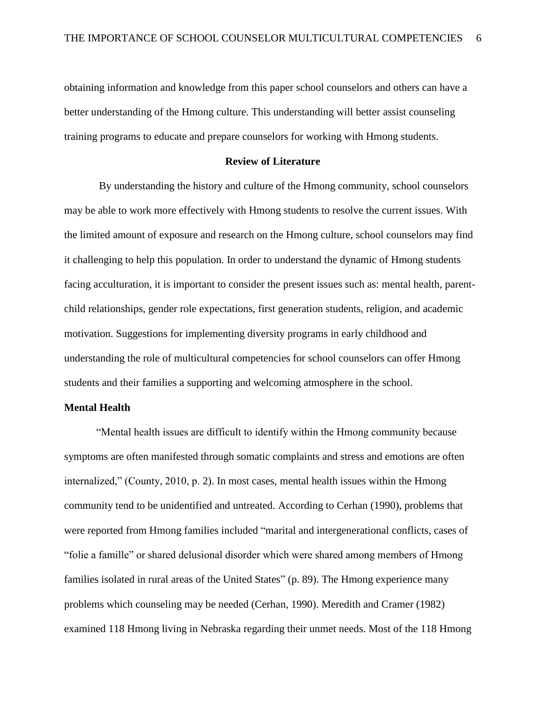obtaining information and knowledge from this paper school counselors and others can have a better understanding of the Hmong culture. This understanding will better assist counseling training programs to educate and prepare counselors for working with Hmong students.

## **Review of Literature**

By understanding the history and culture of the Hmong community, school counselors may be able to work more effectively with Hmong students to resolve the current issues. With the limited amount of exposure and research on the Hmong culture, school counselors may find it challenging to help this population. In order to understand the dynamic of Hmong students facing acculturation, it is important to consider the present issues such as: mental health, parentchild relationships, gender role expectations, first generation students, religion, and academic motivation. Suggestions for implementing diversity programs in early childhood and understanding the role of multicultural competencies for school counselors can offer Hmong students and their families a supporting and welcoming atmosphere in the school.

#### **Mental Health**

"Mental health issues are difficult to identify within the Hmong community because symptoms are often manifested through somatic complaints and stress and emotions are often internalized," (County, 2010, p. 2). In most cases, mental health issues within the Hmong community tend to be unidentified and untreated. According to Cerhan (1990), problems that were reported from Hmong families included "marital and intergenerational conflicts, cases of "folie a famille" or shared delusional disorder which were shared among members of Hmong families isolated in rural areas of the United States" (p. 89). The Hmong experience many problems which counseling may be needed (Cerhan, 1990). Meredith and Cramer (1982) examined 118 Hmong living in Nebraska regarding their unmet needs. Most of the 118 Hmong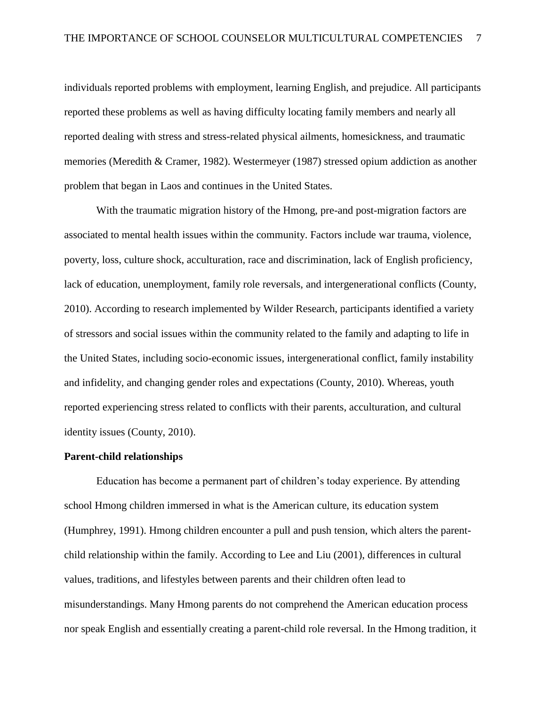individuals reported problems with employment, learning English, and prejudice. All participants reported these problems as well as having difficulty locating family members and nearly all reported dealing with stress and stress-related physical ailments, homesickness, and traumatic memories (Meredith & Cramer, 1982). Westermeyer (1987) stressed opium addiction as another problem that began in Laos and continues in the United States.

With the traumatic migration history of the Hmong, pre-and post-migration factors are associated to mental health issues within the community. Factors include war trauma, violence, poverty, loss, culture shock, acculturation, race and discrimination, lack of English proficiency, lack of education, unemployment, family role reversals, and intergenerational conflicts (County, 2010). According to research implemented by Wilder Research, participants identified a variety of stressors and social issues within the community related to the family and adapting to life in the United States, including socio-economic issues, intergenerational conflict, family instability and infidelity, and changing gender roles and expectations (County, 2010). Whereas, youth reported experiencing stress related to conflicts with their parents, acculturation, and cultural identity issues (County, 2010).

#### **Parent-child relationships**

Education has become a permanent part of children's today experience. By attending school Hmong children immersed in what is the American culture, its education system (Humphrey, 1991). Hmong children encounter a pull and push tension, which alters the parentchild relationship within the family. According to Lee and Liu (2001), differences in cultural values, traditions, and lifestyles between parents and their children often lead to misunderstandings. Many Hmong parents do not comprehend the American education process nor speak English and essentially creating a parent-child role reversal. In the Hmong tradition, it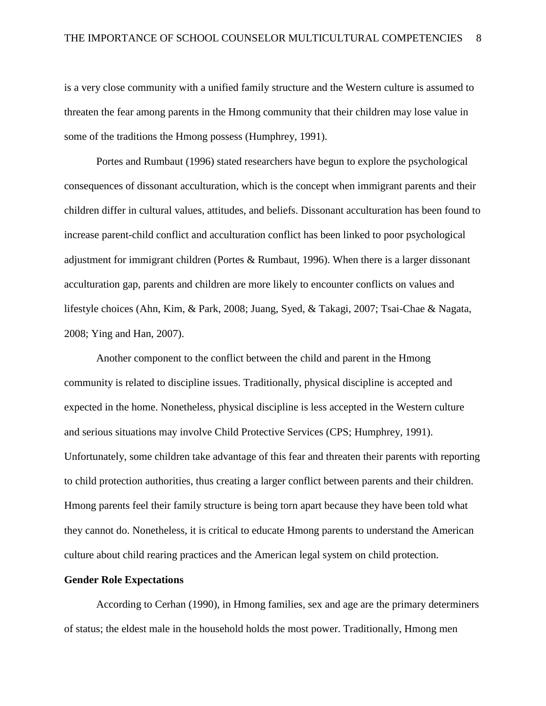is a very close community with a unified family structure and the Western culture is assumed to threaten the fear among parents in the Hmong community that their children may lose value in some of the traditions the Hmong possess (Humphrey, 1991).

Portes and Rumbaut (1996) stated researchers have begun to explore the psychological consequences of dissonant acculturation, which is the concept when immigrant parents and their children differ in cultural values, attitudes, and beliefs. Dissonant acculturation has been found to increase parent-child conflict and acculturation conflict has been linked to poor psychological adjustment for immigrant children (Portes & Rumbaut, 1996). When there is a larger dissonant acculturation gap, parents and children are more likely to encounter conflicts on values and lifestyle choices (Ahn, Kim, & Park, 2008; Juang, Syed, & Takagi, 2007; Tsai-Chae & Nagata, 2008; Ying and Han, 2007).

Another component to the conflict between the child and parent in the Hmong community is related to discipline issues. Traditionally, physical discipline is accepted and expected in the home. Nonetheless, physical discipline is less accepted in the Western culture and serious situations may involve Child Protective Services (CPS; Humphrey, 1991). Unfortunately, some children take advantage of this fear and threaten their parents with reporting to child protection authorities, thus creating a larger conflict between parents and their children. Hmong parents feel their family structure is being torn apart because they have been told what they cannot do. Nonetheless, it is critical to educate Hmong parents to understand the American culture about child rearing practices and the American legal system on child protection.

#### **Gender Role Expectations**

According to Cerhan (1990), in Hmong families, sex and age are the primary determiners of status; the eldest male in the household holds the most power. Traditionally, Hmong men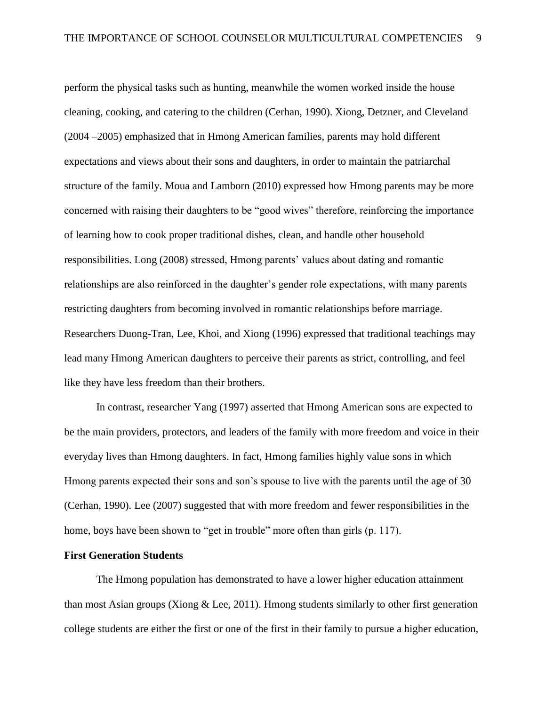perform the physical tasks such as hunting, meanwhile the women worked inside the house cleaning, cooking, and catering to the children (Cerhan, 1990). Xiong, Detzner, and Cleveland (2004 –2005) emphasized that in Hmong American families, parents may hold different expectations and views about their sons and daughters, in order to maintain the patriarchal structure of the family. Moua and Lamborn (2010) expressed how Hmong parents may be more concerned with raising their daughters to be "good wives" therefore, reinforcing the importance of learning how to cook proper traditional dishes, clean, and handle other household responsibilities. Long (2008) stressed, Hmong parents' values about dating and romantic relationships are also reinforced in the daughter's gender role expectations, with many parents restricting daughters from becoming involved in romantic relationships before marriage. Researchers Duong-Tran, Lee, Khoi, and Xiong (1996) expressed that traditional teachings may lead many Hmong American daughters to perceive their parents as strict, controlling, and feel like they have less freedom than their brothers.

In contrast, researcher Yang (1997) asserted that Hmong American sons are expected to be the main providers, protectors, and leaders of the family with more freedom and voice in their everyday lives than Hmong daughters. In fact, Hmong families highly value sons in which Hmong parents expected their sons and son's spouse to live with the parents until the age of 30 (Cerhan, 1990). Lee (2007) suggested that with more freedom and fewer responsibilities in the home, boys have been shown to "get in trouble" more often than girls (p. 117).

# **First Generation Students**

The Hmong population has demonstrated to have a lower higher education attainment than most Asian groups (Xiong & Lee, 2011). Hmong students similarly to other first generation college students are either the first or one of the first in their family to pursue a higher education,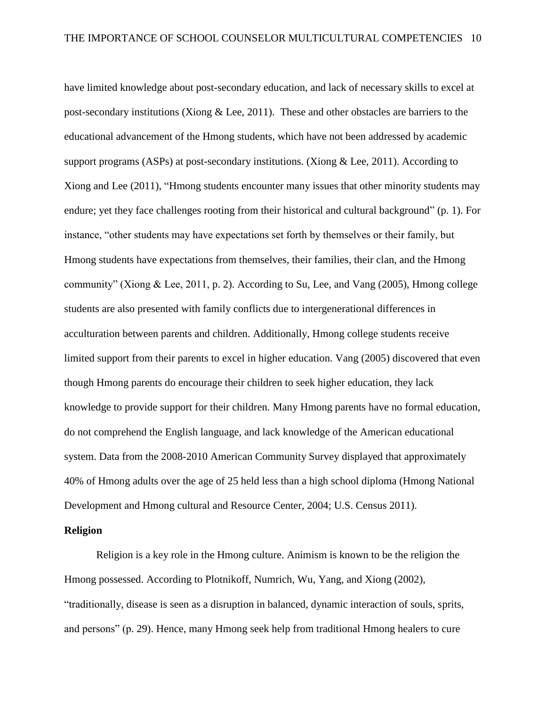have limited knowledge about post-secondary education, and lack of necessary skills to excel at post-secondary institutions (Xiong & Lee, 2011). These and other obstacles are barriers to the educational advancement of the Hmong students, which have not been addressed by academic support programs (ASPs) at post-secondary institutions. (Xiong & Lee, 2011). According to Xiong and Lee (2011), "Hmong students encounter many issues that other minority students may endure; yet they face challenges rooting from their historical and cultural background" (p. 1). For instance, "other students may have expectations set forth by themselves or their family, but Hmong students have expectations from themselves, their families, their clan, and the Hmong community" (Xiong & Lee, 2011, p. 2). According to Su, Lee, and Vang (2005), Hmong college students are also presented with family conflicts due to intergenerational differences in acculturation between parents and children. Additionally, Hmong college students receive limited support from their parents to excel in higher education. Vang (2005) discovered that even though Hmong parents do encourage their children to seek higher education, they lack knowledge to provide support for their children. Many Hmong parents have no formal education, do not comprehend the English language, and lack knowledge of the American educational system. Data from the 2008-2010 American Community Survey displayed that approximately 40% of Hmong adults over the age of 25 held less than a high school diploma (Hmong National Development and Hmong cultural and Resource Center, 2004; U.S. Census 2011).

## **Religion**

Religion is a key role in the Hmong culture. Animism is known to be the religion the Hmong possessed. According to Plotnikoff, Numrich, Wu, Yang, and Xiong (2002), "traditionally, disease is seen as a disruption in balanced, dynamic interaction of souls, sprits, and persons" (p. 29). Hence, many Hmong seek help from traditional Hmong healers to cure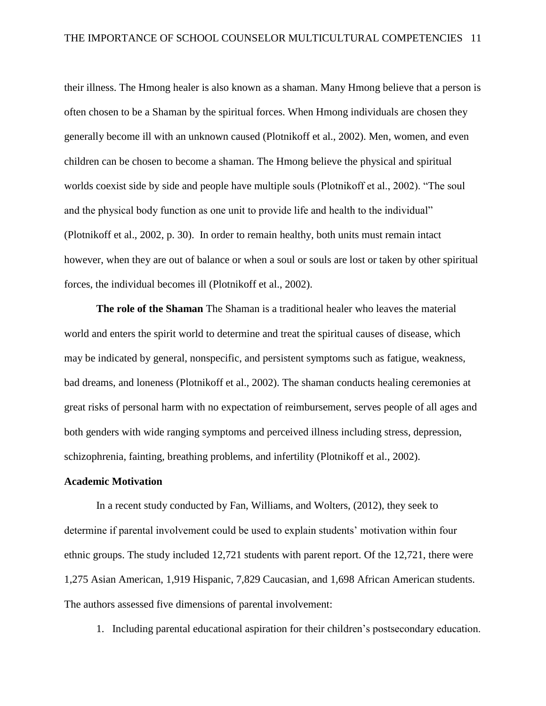their illness. The Hmong healer is also known as a shaman. Many Hmong believe that a person is often chosen to be a Shaman by the spiritual forces. When Hmong individuals are chosen they generally become ill with an unknown caused (Plotnikoff et al., 2002). Men, women, and even children can be chosen to become a shaman. The Hmong believe the physical and spiritual worlds coexist side by side and people have multiple souls (Plotnikoff et al., 2002). "The soul and the physical body function as one unit to provide life and health to the individual" (Plotnikoff et al., 2002, p. 30). In order to remain healthy, both units must remain intact however, when they are out of balance or when a soul or souls are lost or taken by other spiritual forces, the individual becomes ill (Plotnikoff et al., 2002).

**The role of the Shaman** The Shaman is a traditional healer who leaves the material world and enters the spirit world to determine and treat the spiritual causes of disease, which may be indicated by general, nonspecific, and persistent symptoms such as fatigue, weakness, bad dreams, and loneness (Plotnikoff et al., 2002). The shaman conducts healing ceremonies at great risks of personal harm with no expectation of reimbursement, serves people of all ages and both genders with wide ranging symptoms and perceived illness including stress, depression, schizophrenia, fainting, breathing problems, and infertility (Plotnikoff et al., 2002).

## **Academic Motivation**

In a recent study conducted by Fan, Williams, and Wolters, (2012), they seek to determine if parental involvement could be used to explain students' motivation within four ethnic groups. The study included 12,721 students with parent report. Of the 12,721, there were 1,275 Asian American, 1,919 Hispanic, 7,829 Caucasian, and 1,698 African American students. The authors assessed five dimensions of parental involvement:

1. Including parental educational aspiration for their children's postsecondary education.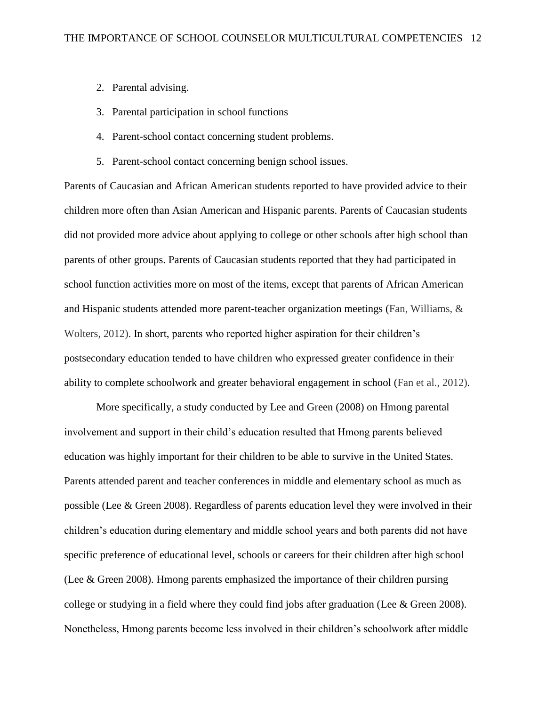- 2. Parental advising.
- 3. Parental participation in school functions
- 4. Parent-school contact concerning student problems.
- 5. Parent-school contact concerning benign school issues.

Parents of Caucasian and African American students reported to have provided advice to their children more often than Asian American and Hispanic parents. Parents of Caucasian students did not provided more advice about applying to college or other schools after high school than parents of other groups. Parents of Caucasian students reported that they had participated in school function activities more on most of the items, except that parents of African American and Hispanic students attended more parent-teacher organization meetings (Fan, Williams, & Wolters, 2012). In short, parents who reported higher aspiration for their children's postsecondary education tended to have children who expressed greater confidence in their ability to complete schoolwork and greater behavioral engagement in school (Fan et al., 2012).

More specifically, a study conducted by Lee and Green (2008) on Hmong parental involvement and support in their child's education resulted that Hmong parents believed education was highly important for their children to be able to survive in the United States. Parents attended parent and teacher conferences in middle and elementary school as much as possible (Lee & Green 2008). Regardless of parents education level they were involved in their children's education during elementary and middle school years and both parents did not have specific preference of educational level, schools or careers for their children after high school (Lee & Green 2008). Hmong parents emphasized the importance of their children pursing college or studying in a field where they could find jobs after graduation (Lee & Green 2008). Nonetheless, Hmong parents become less involved in their children's schoolwork after middle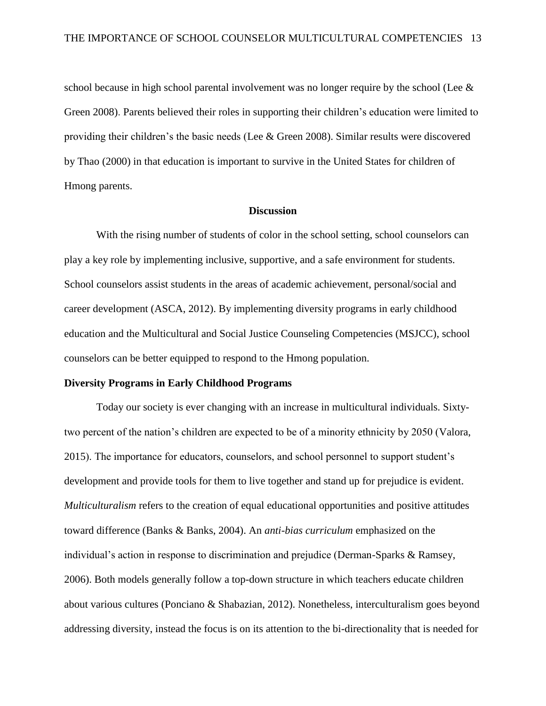school because in high school parental involvement was no longer require by the school (Lee & Green 2008). Parents believed their roles in supporting their children's education were limited to providing their children's the basic needs (Lee & Green 2008). Similar results were discovered by Thao (2000) in that education is important to survive in the United States for children of Hmong parents.

#### **Discussion**

With the rising number of students of color in the school setting, school counselors can play a key role by implementing inclusive, supportive, and a safe environment for students. School counselors assist students in the areas of academic achievement, personal/social and career development (ASCA, 2012). By implementing diversity programs in early childhood education and the Multicultural and Social Justice Counseling Competencies (MSJCC), school counselors can be better equipped to respond to the Hmong population.

## **Diversity Programs in Early Childhood Programs**

Today our society is ever changing with an increase in multicultural individuals. Sixtytwo percent of the nation's children are expected to be of a minority ethnicity by 2050 (Valora, 2015). The importance for educators, counselors, and school personnel to support student's development and provide tools for them to live together and stand up for prejudice is evident. *Multiculturalism* refers to the creation of equal educational opportunities and positive attitudes toward difference (Banks & Banks, 2004). An *anti-bias curriculum* emphasized on the individual's action in response to discrimination and prejudice (Derman-Sparks & Ramsey, 2006). Both models generally follow a top-down structure in which teachers educate children about various cultures (Ponciano & Shabazian, 2012). Nonetheless, interculturalism goes beyond addressing diversity, instead the focus is on its attention to the bi-directionality that is needed for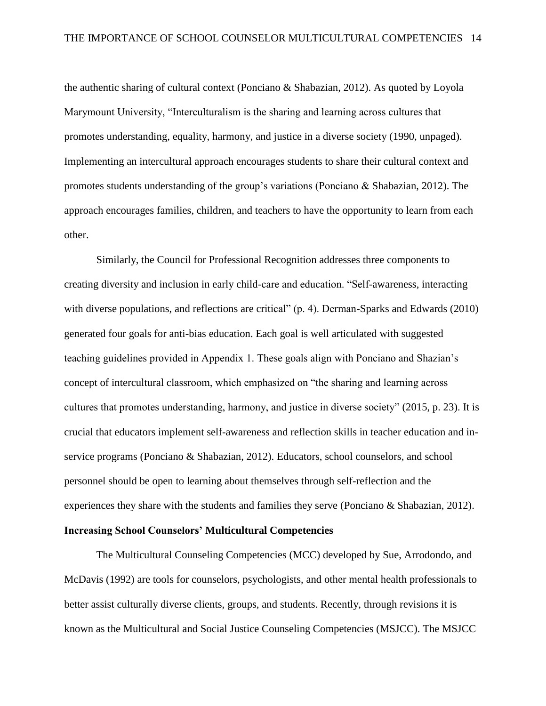the authentic sharing of cultural context (Ponciano & Shabazian, 2012). As quoted by Loyola Marymount University, "Interculturalism is the sharing and learning across cultures that promotes understanding, equality, harmony, and justice in a diverse society (1990, unpaged). Implementing an intercultural approach encourages students to share their cultural context and promotes students understanding of the group's variations (Ponciano & Shabazian, 2012). The approach encourages families, children, and teachers to have the opportunity to learn from each other.

Similarly, the Council for Professional Recognition addresses three components to creating diversity and inclusion in early child-care and education. "Self-awareness, interacting with diverse populations, and reflections are critical" (p. 4). Derman-Sparks and Edwards (2010) generated four goals for anti-bias education. Each goal is well articulated with suggested teaching guidelines provided in Appendix 1. These goals align with Ponciano and Shazian's concept of intercultural classroom, which emphasized on "the sharing and learning across cultures that promotes understanding, harmony, and justice in diverse society" (2015, p. 23). It is crucial that educators implement self-awareness and reflection skills in teacher education and inservice programs (Ponciano & Shabazian, 2012). Educators, school counselors, and school personnel should be open to learning about themselves through self-reflection and the experiences they share with the students and families they serve (Ponciano & Shabazian, 2012).

# **Increasing School Counselors' Multicultural Competencies**

The Multicultural Counseling Competencies (MCC) developed by Sue, Arrodondo, and McDavis (1992) are tools for counselors, psychologists, and other mental health professionals to better assist culturally diverse clients, groups, and students. Recently, through revisions it is known as the Multicultural and Social Justice Counseling Competencies (MSJCC). The MSJCC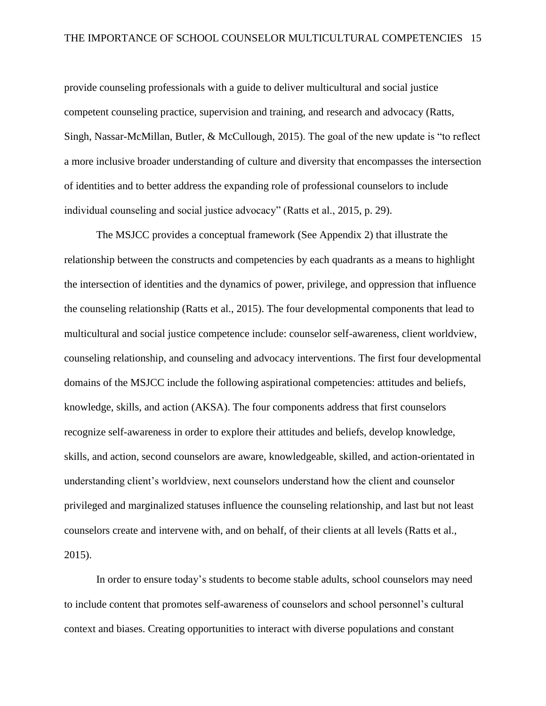provide counseling professionals with a guide to deliver multicultural and social justice competent counseling practice, supervision and training, and research and advocacy (Ratts, Singh, Nassar-McMillan, Butler, & McCullough, 2015). The goal of the new update is "to reflect a more inclusive broader understanding of culture and diversity that encompasses the intersection of identities and to better address the expanding role of professional counselors to include individual counseling and social justice advocacy" (Ratts et al., 2015, p. 29).

The MSJCC provides a conceptual framework (See Appendix 2) that illustrate the relationship between the constructs and competencies by each quadrants as a means to highlight the intersection of identities and the dynamics of power, privilege, and oppression that influence the counseling relationship (Ratts et al., 2015). The four developmental components that lead to multicultural and social justice competence include: counselor self-awareness, client worldview, counseling relationship, and counseling and advocacy interventions. The first four developmental domains of the MSJCC include the following aspirational competencies: attitudes and beliefs, knowledge, skills, and action (AKSA). The four components address that first counselors recognize self-awareness in order to explore their attitudes and beliefs, develop knowledge, skills, and action, second counselors are aware, knowledgeable, skilled, and action-orientated in understanding client's worldview, next counselors understand how the client and counselor privileged and marginalized statuses influence the counseling relationship, and last but not least counselors create and intervene with, and on behalf, of their clients at all levels (Ratts et al., 2015).

In order to ensure today's students to become stable adults, school counselors may need to include content that promotes self-awareness of counselors and school personnel's cultural context and biases. Creating opportunities to interact with diverse populations and constant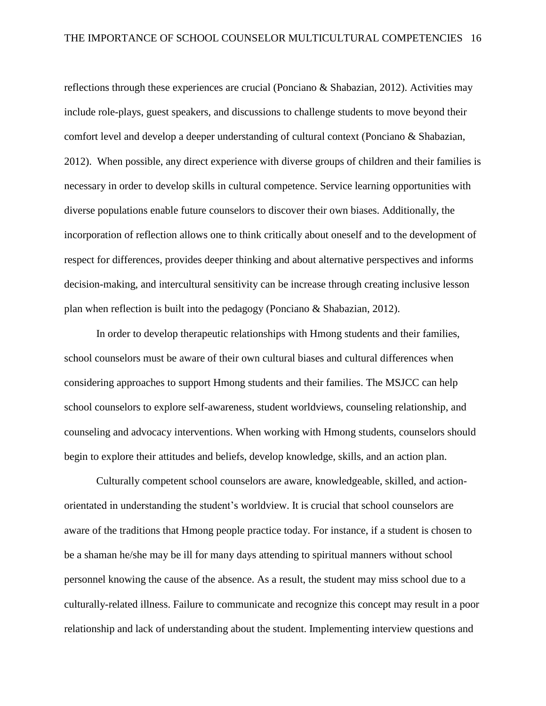reflections through these experiences are crucial (Ponciano & Shabazian, 2012). Activities may include role-plays, guest speakers, and discussions to challenge students to move beyond their comfort level and develop a deeper understanding of cultural context (Ponciano & Shabazian, 2012). When possible, any direct experience with diverse groups of children and their families is necessary in order to develop skills in cultural competence. Service learning opportunities with diverse populations enable future counselors to discover their own biases. Additionally, the incorporation of reflection allows one to think critically about oneself and to the development of respect for differences, provides deeper thinking and about alternative perspectives and informs decision-making, and intercultural sensitivity can be increase through creating inclusive lesson plan when reflection is built into the pedagogy (Ponciano & Shabazian, 2012).

In order to develop therapeutic relationships with Hmong students and their families, school counselors must be aware of their own cultural biases and cultural differences when considering approaches to support Hmong students and their families. The MSJCC can help school counselors to explore self-awareness, student worldviews, counseling relationship, and counseling and advocacy interventions. When working with Hmong students, counselors should begin to explore their attitudes and beliefs, develop knowledge, skills, and an action plan.

Culturally competent school counselors are aware, knowledgeable, skilled, and actionorientated in understanding the student's worldview. It is crucial that school counselors are aware of the traditions that Hmong people practice today. For instance, if a student is chosen to be a shaman he/she may be ill for many days attending to spiritual manners without school personnel knowing the cause of the absence. As a result, the student may miss school due to a culturally-related illness. Failure to communicate and recognize this concept may result in a poor relationship and lack of understanding about the student. Implementing interview questions and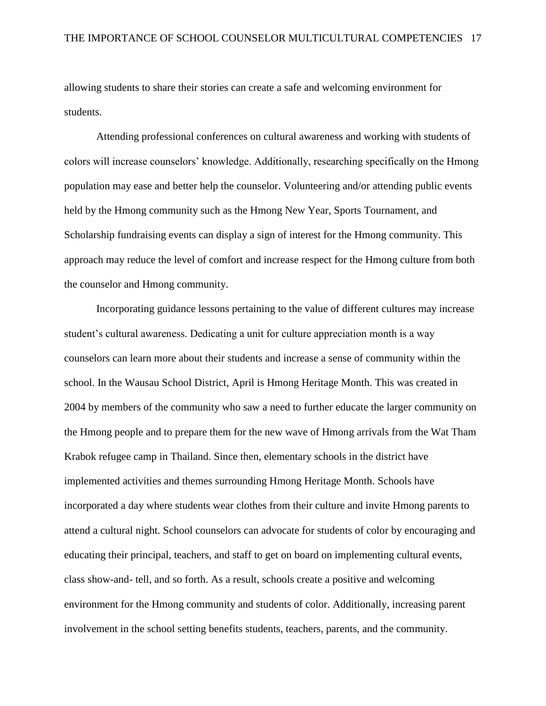allowing students to share their stories can create a safe and welcoming environment for students.

Attending professional conferences on cultural awareness and working with students of colors will increase counselors' knowledge. Additionally, researching specifically on the Hmong population may ease and better help the counselor. Volunteering and/or attending public events held by the Hmong community such as the Hmong New Year, Sports Tournament, and Scholarship fundraising events can display a sign of interest for the Hmong community. This approach may reduce the level of comfort and increase respect for the Hmong culture from both the counselor and Hmong community.

Incorporating guidance lessons pertaining to the value of different cultures may increase student's cultural awareness. Dedicating a unit for culture appreciation month is a way counselors can learn more about their students and increase a sense of community within the school. In the Wausau School District, April is Hmong Heritage Month. This was created in 2004 by members of the community who saw a need to further educate the larger community on the Hmong people and to prepare them for the new wave of Hmong arrivals from the Wat Tham Krabok refugee camp in Thailand. Since then, elementary schools in the district have implemented activities and themes surrounding Hmong Heritage Month. Schools have incorporated a day where students wear clothes from their culture and invite Hmong parents to attend a cultural night. School counselors can advocate for students of color by encouraging and educating their principal, teachers, and staff to get on board on implementing cultural events, class show-and- tell, and so forth. As a result, schools create a positive and welcoming environment for the Hmong community and students of color. Additionally, increasing parent involvement in the school setting benefits students, teachers, parents, and the community.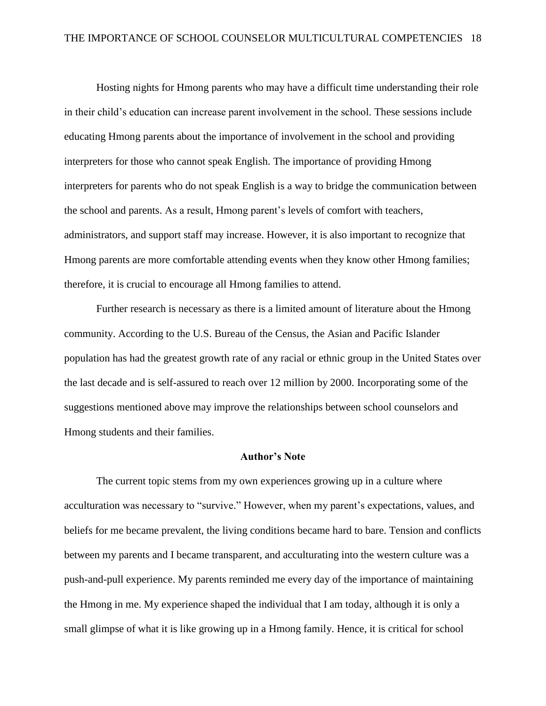Hosting nights for Hmong parents who may have a difficult time understanding their role in their child's education can increase parent involvement in the school. These sessions include educating Hmong parents about the importance of involvement in the school and providing interpreters for those who cannot speak English. The importance of providing Hmong interpreters for parents who do not speak English is a way to bridge the communication between the school and parents. As a result, Hmong parent's levels of comfort with teachers, administrators, and support staff may increase. However, it is also important to recognize that Hmong parents are more comfortable attending events when they know other Hmong families; therefore, it is crucial to encourage all Hmong families to attend.

Further research is necessary as there is a limited amount of literature about the Hmong community. According to the U.S. Bureau of the Census, the Asian and Pacific Islander population has had the greatest growth rate of any racial or ethnic group in the United States over the last decade and is self-assured to reach over 12 million by 2000. Incorporating some of the suggestions mentioned above may improve the relationships between school counselors and Hmong students and their families.

#### **Author's Note**

The current topic stems from my own experiences growing up in a culture where acculturation was necessary to "survive." However, when my parent's expectations, values, and beliefs for me became prevalent, the living conditions became hard to bare. Tension and conflicts between my parents and I became transparent, and acculturating into the western culture was a push-and-pull experience. My parents reminded me every day of the importance of maintaining the Hmong in me. My experience shaped the individual that I am today, although it is only a small glimpse of what it is like growing up in a Hmong family. Hence, it is critical for school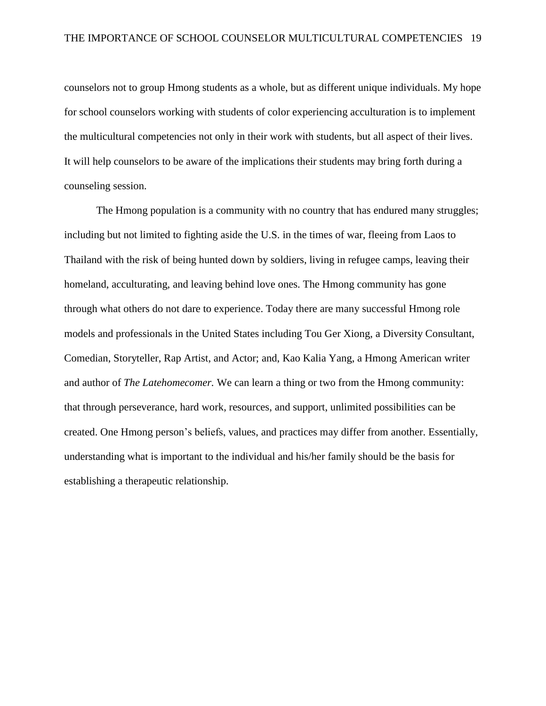counselors not to group Hmong students as a whole, but as different unique individuals. My hope for school counselors working with students of color experiencing acculturation is to implement the multicultural competencies not only in their work with students, but all aspect of their lives. It will help counselors to be aware of the implications their students may bring forth during a counseling session.

The Hmong population is a community with no country that has endured many struggles; including but not limited to fighting aside the U.S. in the times of war, fleeing from Laos to Thailand with the risk of being hunted down by soldiers, living in refugee camps, leaving their homeland, acculturating, and leaving behind love ones. The Hmong community has gone through what others do not dare to experience. Today there are many successful Hmong role models and professionals in the United States including Tou Ger Xiong, a Diversity Consultant, Comedian, Storyteller, Rap Artist, and Actor; and, Kao Kalia Yang, a Hmong American writer and author of *The Latehomecomer.* We can learn a thing or two from the Hmong community: that through perseverance, hard work, resources, and support, unlimited possibilities can be created. One Hmong person's beliefs, values, and practices may differ from another. Essentially, understanding what is important to the individual and his/her family should be the basis for establishing a therapeutic relationship.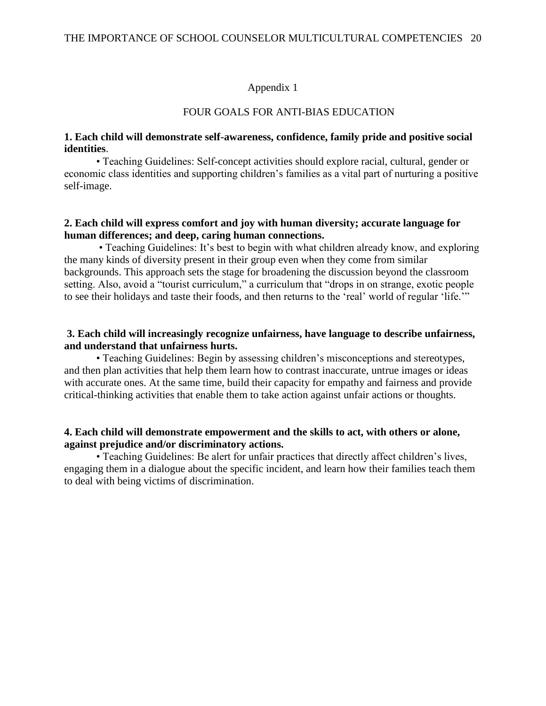## Appendix 1

#### FOUR GOALS FOR ANTI-BIAS EDUCATION

## **1. Each child will demonstrate self-awareness, confidence, family pride and positive social identities**.

• Teaching Guidelines: Self-concept activities should explore racial, cultural, gender or economic class identities and supporting children's families as a vital part of nurturing a positive self-image.

## **2. Each child will express comfort and joy with human diversity; accurate language for human differences; and deep, caring human connections.**

• Teaching Guidelines: It's best to begin with what children already know, and exploring the many kinds of diversity present in their group even when they come from similar backgrounds. This approach sets the stage for broadening the discussion beyond the classroom setting. Also, avoid a "tourist curriculum," a curriculum that "drops in on strange, exotic people to see their holidays and taste their foods, and then returns to the 'real' world of regular 'life.'"

## **3. Each child will increasingly recognize unfairness, have language to describe unfairness, and understand that unfairness hurts.**

• Teaching Guidelines: Begin by assessing children's misconceptions and stereotypes, and then plan activities that help them learn how to contrast inaccurate, untrue images or ideas with accurate ones. At the same time, build their capacity for empathy and fairness and provide critical-thinking activities that enable them to take action against unfair actions or thoughts.

## **4. Each child will demonstrate empowerment and the skills to act, with others or alone, against prejudice and/or discriminatory actions.**

• Teaching Guidelines: Be alert for unfair practices that directly affect children's lives, engaging them in a dialogue about the specific incident, and learn how their families teach them to deal with being victims of discrimination.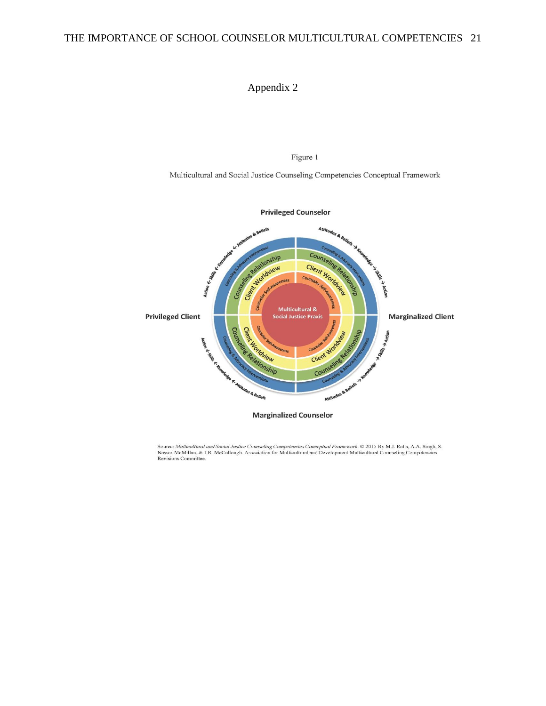# Appendix 2

Figure 1

Multicultural and Social Justice Counseling Competencies Conceptual Framework



Source: Multicultural and Social Justice Counseling Competencies Conceptual Framework. © 2015 By M.J. Ratts, A.A. Singh, S. Nassar-McMillan, & J.R. McCullough. Association for Multicultural and Development Multicultural Co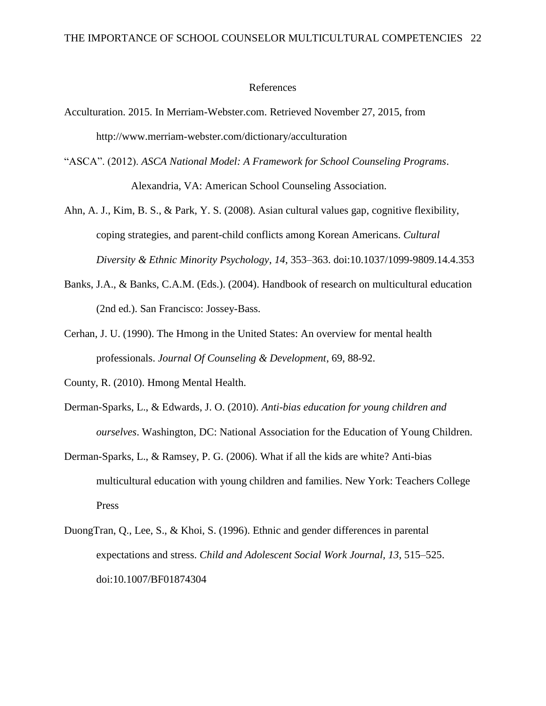#### References

- Acculturation. 2015. In Merriam-Webster.com. Retrieved November 27, 2015, from http://www.merriam-webster.com/dictionary/acculturation
- "ASCA". (2012). *ASCA National Model: A Framework for School Counseling Programs*. Alexandria, VA: American School Counseling Association.
- Ahn, A. J., Kim, B. S., & Park, Y. S. (2008). Asian cultural values gap, cognitive flexibility, coping strategies, and parent-child conflicts among Korean Americans. *Cultural Diversity & Ethnic Minority Psychology*, *14*, 353–363. doi:10.1037/1099-9809.14.4.353
- Banks, J.A., & Banks, C.A.M. (Eds.). (2004). Handbook of research on multicultural education (2nd ed.). San Francisco: Jossey-Bass.
- Cerhan, J. U. (1990). The Hmong in the United States: An overview for mental health professionals. *Journal Of Counseling & Development*, 69, 88-92.
- County, R. (2010). Hmong Mental Health.
- Derman-Sparks, L., & Edwards, J. O. (2010). *Anti-bias education for young children and ourselves*. Washington, DC: National Association for the Education of Young Children.
- Derman-Sparks, L., & Ramsey, P. G. (2006). What if all the kids are white? Anti-bias multicultural education with young children and families. New York: Teachers College Press
- DuongTran, Q., Lee, S., & Khoi, S. (1996). Ethnic and gender differences in parental expectations and stress. *Child and Adolescent Social Work Journal, 13*, 515–525. doi:10.1007/BF01874304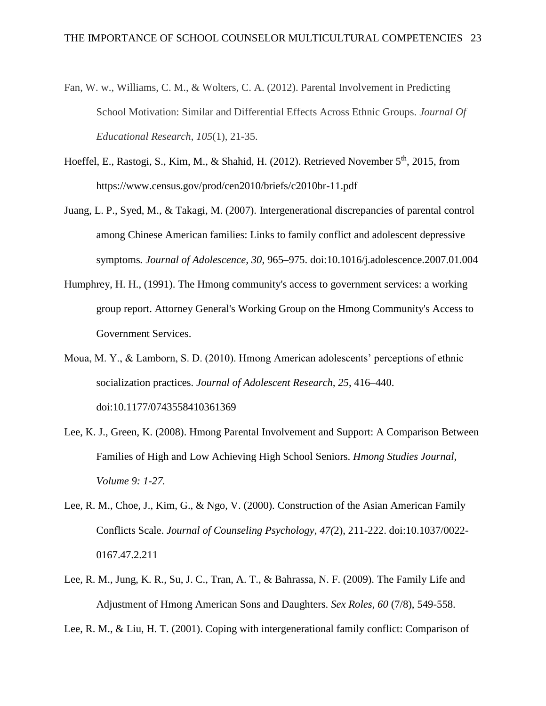- Fan, W. w., Williams, C. M., & Wolters, C. A. (2012). Parental Involvement in Predicting School Motivation: Similar and Differential Effects Across Ethnic Groups. *Journal Of Educational Research*, *105*(1), 21-35.
- Hoeffel, E., Rastogi, S., Kim, M., & Shahid, H. (2012). Retrieved November 5<sup>th</sup>, 2015, from https://www.census.gov/prod/cen2010/briefs/c2010br-11.pdf
- Juang, L. P., Syed, M., & Takagi, M. (2007). Intergenerational discrepancies of parental control among Chinese American families: Links to family conflict and adolescent depressive symptoms*. Journal of Adolescence, 30*, 965–975. doi:10.1016/j.adolescence.2007.01.004
- Humphrey, H. H., (1991). The Hmong community's access to government services: a working group report. Attorney General's Working Group on the Hmong Community's Access to Government Services.
- Moua, M. Y., & Lamborn, S. D. (2010). Hmong American adolescents' perceptions of ethnic socialization practices. *Journal of Adolescent Research, 25*, 416–440. doi:10.1177/0743558410361369
- Lee, K. J., Green, K. (2008). Hmong Parental Involvement and Support: A Comparison Between Families of High and Low Achieving High School Seniors. *Hmong Studies Journal, Volume 9: 1-27.*
- Lee, R. M., Choe, J., Kim, G., & Ngo, V. (2000). Construction of the Asian American Family Conflicts Scale. *Journal of Counseling Psychology*, *47(*2), 211-222. doi:10.1037/0022- 0167.47.2.211
- Lee, R. M., Jung, K. R., Su, J. C., Tran, A. T., & Bahrassa, N. F. (2009). The Family Life and Adjustment of Hmong American Sons and Daughters. *Sex Roles, 60* (7/8), 549-558.

Lee, R. M., & Liu, H. T. (2001). Coping with intergenerational family conflict: Comparison of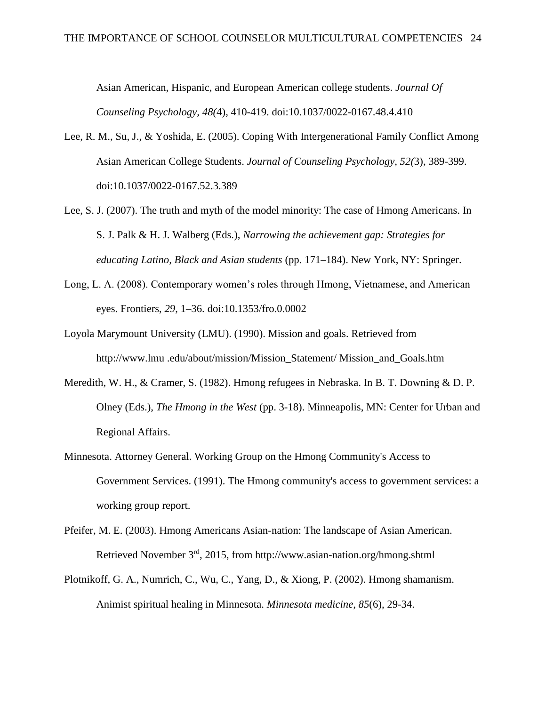Asian American, Hispanic, and European American college students. *Journal Of Counseling Psychology, 48(*4), 410-419. doi:10.1037/0022-0167.48.4.410

- Lee, R. M., Su, J., & Yoshida, E. (2005). Coping With Intergenerational Family Conflict Among Asian American College Students. *Journal of Counseling Psychology, 52(*3), 389-399. doi:10.1037/0022-0167.52.3.389
- Lee, S. J. (2007). The truth and myth of the model minority: The case of Hmong Americans. In S. J. Palk & H. J. Walberg (Eds.), *Narrowing the achievement gap: Strategies for educating Latino, Black and Asian students* (pp. 171–184). New York, NY: Springer.
- Long, L. A. (2008). Contemporary women's roles through Hmong, Vietnamese, and American eyes. Frontiers, *29*, 1–36. doi:10.1353/fro.0.0002
- Loyola Marymount University (LMU). (1990). Mission and goals. Retrieved from http://www.lmu .edu/about/mission/Mission\_Statement/ Mission\_and\_Goals.htm
- Meredith, W. H., & Cramer, S. (1982). Hmong refugees in Nebraska. In B. T. Downing & D. P. Olney (Eds.), *The Hmong in the West* (pp. 3-18). Minneapolis, MN: Center for Urban and Regional Affairs.
- Minnesota. Attorney General. Working Group on the Hmong Community's Access to Government Services. (1991). The Hmong community's access to government services: a working group report.
- Pfeifer, M. E. (2003). Hmong Americans Asian-nation: The landscape of Asian American. Retrieved November 3rd, 2015, from http://www.asian-nation.org/hmong.shtml
- Plotnikoff, G. A., Numrich, C., Wu, C., Yang, D., & Xiong, P. (2002). Hmong shamanism. Animist spiritual healing in Minnesota. *Minnesota medicine*, *85*(6), 29-34.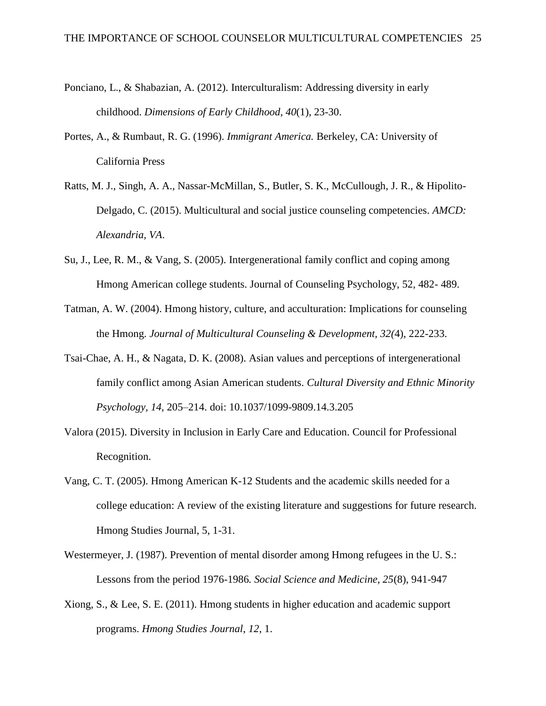- Ponciano, L., & Shabazian, A. (2012). Interculturalism: Addressing diversity in early childhood. *Dimensions of Early Childhood*, *40*(1), 23-30.
- Portes, A., & Rumbaut, R. G. (1996). *Immigrant America.* Berkeley, CA: University of California Press
- Ratts, M. J., Singh, A. A., Nassar-McMillan, S., Butler, S. K., McCullough, J. R., & Hipolito-Delgado, C. (2015). Multicultural and social justice counseling competencies. *AMCD: Alexandria, VA*.
- Su, J., Lee, R. M., & Vang, S. (2005). Intergenerational family conflict and coping among Hmong American college students. Journal of Counseling Psychology, 52, 482- 489.
- Tatman, A. W. (2004). Hmong history, culture, and acculturation: Implications for counseling the Hmong. *Journal of Multicultural Counseling & Development, 32(*4), 222-233.
- Tsai-Chae, A. H., & Nagata, D. K. (2008). Asian values and perceptions of intergenerational family conflict among Asian American students. *Cultural Diversity and Ethnic Minority Psychology, 14*, 205–214. doi: 10.1037/1099-9809.14.3.205
- Valora (2015). Diversity in Inclusion in Early Care and Education. Council for Professional Recognition.
- Vang, C. T. (2005). Hmong American K-12 Students and the academic skills needed for a college education: A review of the existing literature and suggestions for future research. Hmong Studies Journal, 5, 1-31.
- Westermeyer, J. (1987). Prevention of mental disorder among Hmong refugees in the U. S.: Lessons from the period 1976-1986*. Social Science and Medicine, 25*(8), 941-947
- Xiong, S., & Lee, S. E. (2011). Hmong students in higher education and academic support programs. *Hmong Studies Journal*, *12*, 1.